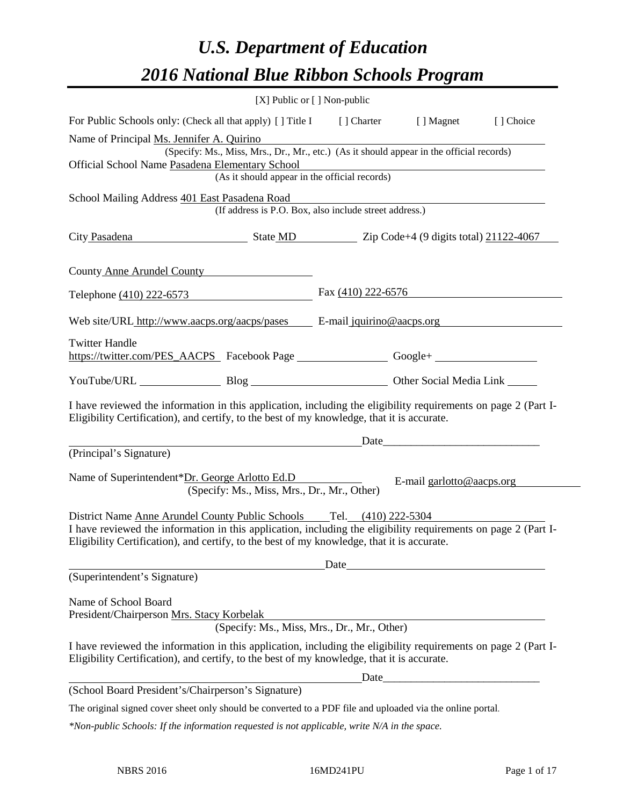# *U.S. Department of Education 2016 National Blue Ribbon Schools Program*

| $[X]$ Public or $[ \ ]$ Non-public                                                                                                                                                                                                        |                      |                           |           |
|-------------------------------------------------------------------------------------------------------------------------------------------------------------------------------------------------------------------------------------------|----------------------|---------------------------|-----------|
| For Public Schools only: (Check all that apply) [] Title I [] Charter [] Magnet                                                                                                                                                           |                      |                           | [] Choice |
| Name of Principal Ms. Jennifer A. Quirino<br>(Specify: Ms., Miss, Mrs., Dr., Mr., etc.) (As it should appear in the official records)<br>Official School Name Pasadena Elementary School<br>(As it should appear in the official records) |                      |                           |           |
| School Mailing Address 401 East Pasadena Road<br>(If address is P.O. Box, also include street address.)                                                                                                                                   |                      |                           |           |
| City Pasadena State MD Zip Code+4 (9 digits total) 21122-4067                                                                                                                                                                             |                      |                           |           |
| County Anne Arundel County                                                                                                                                                                                                                |                      |                           |           |
| Telephone (410) 222-6573                                                                                                                                                                                                                  | Fax $(410)$ 222-6576 |                           |           |
| Web site/URL http://www.aacps.org/aacps/pases E-mail jquirino@aacps.org                                                                                                                                                                   |                      |                           |           |
| <b>Twitter Handle</b><br>https://twitter.com/PES_AACPS Facebook Page _____________________Google+ ___________________________                                                                                                             |                      |                           |           |
| YouTube/URL Blog Blog Other Social Media Link                                                                                                                                                                                             |                      |                           |           |
| I have reviewed the information in this application, including the eligibility requirements on page 2 (Part I-<br>Eligibility Certification), and certify, to the best of my knowledge, that it is accurate.                              |                      |                           |           |
| (Principal's Signature)                                                                                                                                                                                                                   |                      |                           |           |
| Name of Superintendent*Dr. George Arlotto Ed.D<br>(Specify: Ms., Miss, Mrs., Dr., Mr., Other)                                                                                                                                             |                      | E-mail garlotto@aacps.org |           |
| I have reviewed the information in this application, including the eligibility requirements on page 2 (Part I-<br>Eligibility Certification), and certify, to the best of my knowledge, that it is accurate.                              |                      |                           |           |
| (Superintendent's Signature)                                                                                                                                                                                                              | Date                 |                           |           |
| Name of School Board<br>President/Chairperson Mrs. Stacy Korbelak<br>(Specify: Ms., Miss, Mrs., Dr., Mr., Other)                                                                                                                          |                      |                           |           |
| I have reviewed the information in this application, including the eligibility requirements on page 2 (Part I-<br>Eligibility Certification), and certify, to the best of my knowledge, that it is accurate.                              |                      |                           |           |
|                                                                                                                                                                                                                                           | Date                 |                           |           |
| (School Board President's/Chairperson's Signature)<br>The original signed cover sheet only should be converted to a PDF file and uploaded via the online portal.                                                                          |                      |                           |           |
| *Non-public Schools: If the information requested is not applicable, write N/A in the space.                                                                                                                                              |                      |                           |           |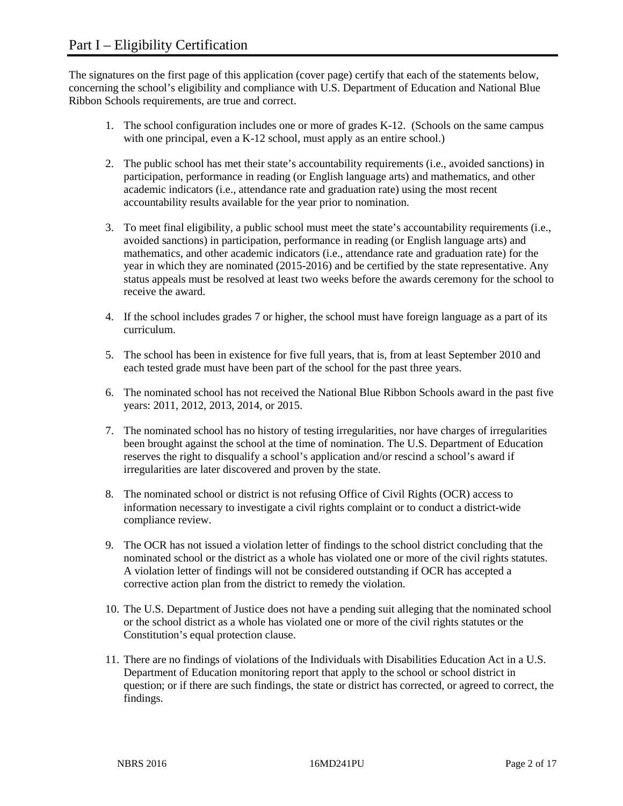The signatures on the first page of this application (cover page) certify that each of the statements below, concerning the school's eligibility and compliance with U.S. Department of Education and National Blue Ribbon Schools requirements, are true and correct.

- 1. The school configuration includes one or more of grades K-12. (Schools on the same campus with one principal, even a K-12 school, must apply as an entire school.)
- 2. The public school has met their state's accountability requirements (i.e., avoided sanctions) in participation, performance in reading (or English language arts) and mathematics, and other academic indicators (i.e., attendance rate and graduation rate) using the most recent accountability results available for the year prior to nomination.
- 3. To meet final eligibility, a public school must meet the state's accountability requirements (i.e., avoided sanctions) in participation, performance in reading (or English language arts) and mathematics, and other academic indicators (i.e., attendance rate and graduation rate) for the year in which they are nominated (2015-2016) and be certified by the state representative. Any status appeals must be resolved at least two weeks before the awards ceremony for the school to receive the award.
- 4. If the school includes grades 7 or higher, the school must have foreign language as a part of its curriculum.
- 5. The school has been in existence for five full years, that is, from at least September 2010 and each tested grade must have been part of the school for the past three years.
- 6. The nominated school has not received the National Blue Ribbon Schools award in the past five years: 2011, 2012, 2013, 2014, or 2015.
- 7. The nominated school has no history of testing irregularities, nor have charges of irregularities been brought against the school at the time of nomination. The U.S. Department of Education reserves the right to disqualify a school's application and/or rescind a school's award if irregularities are later discovered and proven by the state.
- 8. The nominated school or district is not refusing Office of Civil Rights (OCR) access to information necessary to investigate a civil rights complaint or to conduct a district-wide compliance review.
- 9. The OCR has not issued a violation letter of findings to the school district concluding that the nominated school or the district as a whole has violated one or more of the civil rights statutes. A violation letter of findings will not be considered outstanding if OCR has accepted a corrective action plan from the district to remedy the violation.
- 10. The U.S. Department of Justice does not have a pending suit alleging that the nominated school or the school district as a whole has violated one or more of the civil rights statutes or the Constitution's equal protection clause.
- 11. There are no findings of violations of the Individuals with Disabilities Education Act in a U.S. Department of Education monitoring report that apply to the school or school district in question; or if there are such findings, the state or district has corrected, or agreed to correct, the findings.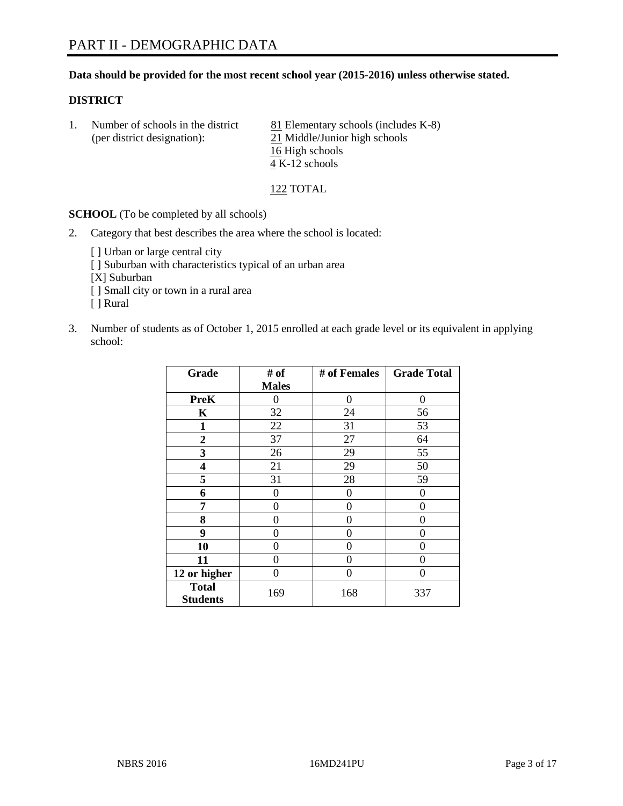## **Data should be provided for the most recent school year (2015-2016) unless otherwise stated.**

#### **DISTRICT**

1. Number of schools in the district  $81$  Elementary schools (includes K-8) (per district designation): 21 Middle/Junior high schools 16 High schools 4 K-12 schools

122 TOTAL

**SCHOOL** (To be completed by all schools)

- 2. Category that best describes the area where the school is located:
	- [] Urban or large central city [ ] Suburban with characteristics typical of an urban area [X] Suburban [ ] Small city or town in a rural area [ ] Rural
- 3. Number of students as of October 1, 2015 enrolled at each grade level or its equivalent in applying school:

| Grade                           | # of         | # of Females | <b>Grade Total</b> |
|---------------------------------|--------------|--------------|--------------------|
|                                 | <b>Males</b> |              |                    |
| <b>PreK</b>                     | 0            | 0            | 0                  |
| K                               | 32           | 24           | 56                 |
| 1                               | 22           | 31           | 53                 |
| $\overline{2}$                  | 37           | 27           | 64                 |
| 3                               | 26           | 29           | 55                 |
| 4                               | 21           | 29           | 50                 |
| 5                               | 31           | 28           | 59                 |
| 6                               | 0            | 0            | 0                  |
| 7                               | 0            | 0            | 0                  |
| 8                               | 0            | 0            | 0                  |
| 9                               | 0            | 0            | 0                  |
| 10                              | 0            | 0            | $\theta$           |
| 11                              | 0            | 0            | 0                  |
| 12 or higher                    | 0            | 0            | $\theta$           |
| <b>Total</b><br><b>Students</b> | 169          | 168          | 337                |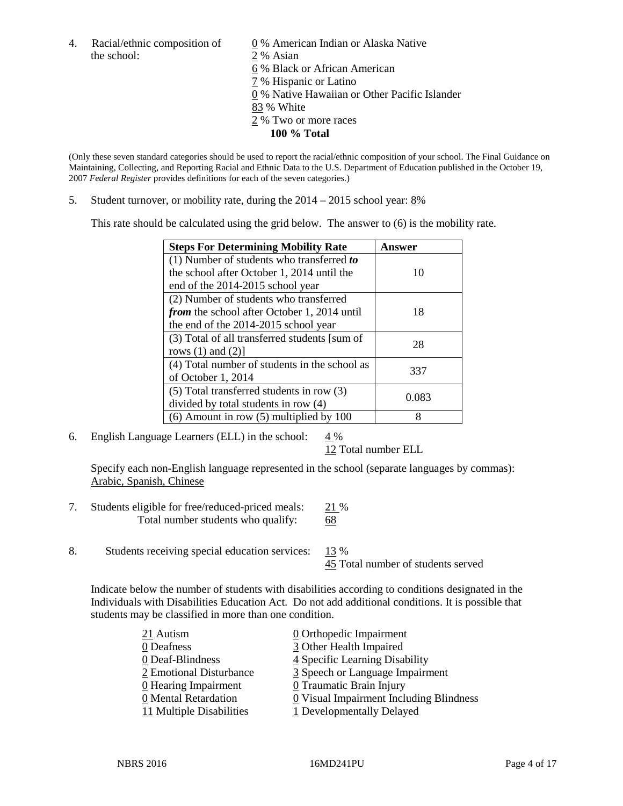4. Racial/ethnic composition of  $\qquad \underline{0}$  % American Indian or Alaska Native the school: 2 % Asian

 % Black or African American % Hispanic or Latino % Native Hawaiian or Other Pacific Islander 83 % White % Two or more races **100 % Total**

(Only these seven standard categories should be used to report the racial/ethnic composition of your school. The Final Guidance on Maintaining, Collecting, and Reporting Racial and Ethnic Data to the U.S. Department of Education published in the October 19, 2007 *Federal Register* provides definitions for each of the seven categories.)

5. Student turnover, or mobility rate, during the  $2014 - 2015$  school year:  $8\%$ 

This rate should be calculated using the grid below. The answer to (6) is the mobility rate.

| <b>Steps For Determining Mobility Rate</b>         | Answer |  |
|----------------------------------------------------|--------|--|
| (1) Number of students who transferred to          |        |  |
| the school after October 1, 2014 until the         | 10     |  |
| end of the 2014-2015 school year                   |        |  |
| (2) Number of students who transferred             |        |  |
| <i>from</i> the school after October 1, 2014 until | 18     |  |
| the end of the 2014-2015 school year               |        |  |
| (3) Total of all transferred students [sum of      | 28     |  |
| rows $(1)$ and $(2)$ ]                             |        |  |
| (4) Total number of students in the school as      | 337    |  |
| of October 1, 2014                                 |        |  |
| (5) Total transferred students in row (3)          | 0.083  |  |
| divided by total students in row (4)               |        |  |
| $(6)$ Amount in row $(5)$ multiplied by 100        | 8      |  |

6. English Language Learners (ELL) in the school:  $4\%$ 

12 Total number ELL

Specify each non-English language represented in the school (separate languages by commas): Arabic, Spanish, Chinese

- 7. Students eligible for free/reduced-priced meals: 21 % Total number students who qualify: 68
- 8. Students receiving special education services: 13 %

45 Total number of students served

Indicate below the number of students with disabilities according to conditions designated in the Individuals with Disabilities Education Act. Do not add additional conditions. It is possible that students may be classified in more than one condition.

| 21 Autism                | 0 Orthopedic Impairment                               |
|--------------------------|-------------------------------------------------------|
| 0 Deafness               | 3 Other Health Impaired                               |
| 0 Deaf-Blindness         | 4 Specific Learning Disability                        |
| 2 Emotional Disturbance  | 3 Speech or Language Impairment                       |
| 0 Hearing Impairment     | 0 Traumatic Brain Injury                              |
| 0 Mental Retardation     | $\underline{0}$ Visual Impairment Including Blindness |
| 11 Multiple Disabilities | 1 Developmentally Delayed                             |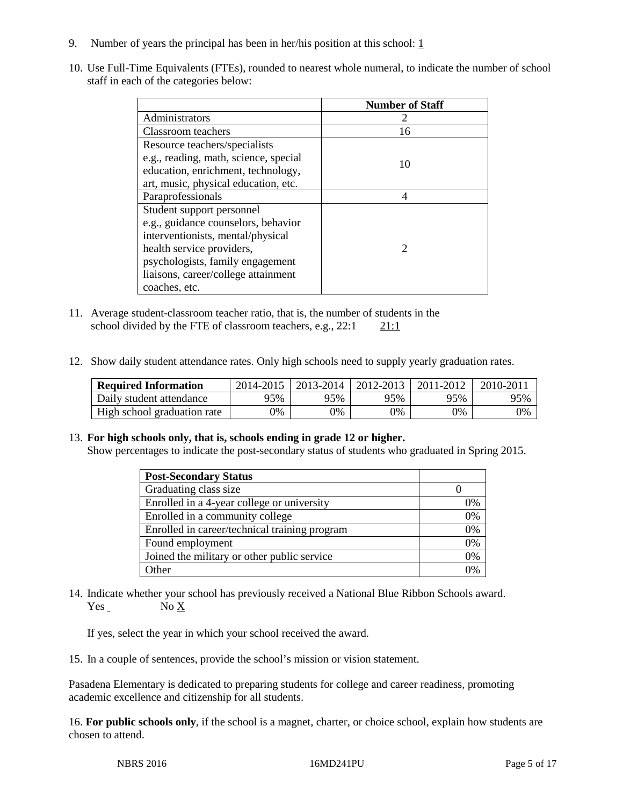- 9. Number of years the principal has been in her/his position at this school:  $1 \overline{1}$
- 10. Use Full-Time Equivalents (FTEs), rounded to nearest whole numeral, to indicate the number of school staff in each of the categories below:

|                                       | <b>Number of Staff</b>      |
|---------------------------------------|-----------------------------|
| Administrators                        |                             |
| Classroom teachers                    | 16                          |
| Resource teachers/specialists         |                             |
| e.g., reading, math, science, special | 10                          |
| education, enrichment, technology,    |                             |
| art, music, physical education, etc.  |                             |
| Paraprofessionals                     | 4                           |
| Student support personnel             |                             |
| e.g., guidance counselors, behavior   |                             |
| interventionists, mental/physical     |                             |
| health service providers,             | $\mathcal{D}_{\mathcal{A}}$ |
| psychologists, family engagement      |                             |
| liaisons, career/college attainment   |                             |
| coaches, etc.                         |                             |

- 11. Average student-classroom teacher ratio, that is, the number of students in the school divided by the FTE of classroom teachers, e.g.,  $22:1$  21:1
- 12. Show daily student attendance rates. Only high schools need to supply yearly graduation rates.

| <b>Required Information</b> | 2014-2015 | $2013 - 2014$ | 2012-2013 | 2011-2012 | $2010 - 201$ |
|-----------------------------|-----------|---------------|-----------|-----------|--------------|
| Daily student attendance    | 95%       | 95%           | 95%       | 95%       | 95%          |
| High school graduation rate | 9%        | 0%            | 0%        | 9%        | 0%           |

## 13. **For high schools only, that is, schools ending in grade 12 or higher.**

Show percentages to indicate the post-secondary status of students who graduated in Spring 2015.

| <b>Post-Secondary Status</b>                  |    |
|-----------------------------------------------|----|
| Graduating class size                         |    |
| Enrolled in a 4-year college or university    | 0% |
| Enrolled in a community college               | 0% |
| Enrolled in career/technical training program | 0% |
| Found employment                              | 0% |
| Joined the military or other public service   | 0% |
| Other                                         | 0/ |

14. Indicate whether your school has previously received a National Blue Ribbon Schools award. Yes No X

If yes, select the year in which your school received the award.

15. In a couple of sentences, provide the school's mission or vision statement.

Pasadena Elementary is dedicated to preparing students for college and career readiness, promoting academic excellence and citizenship for all students.

16. **For public schools only**, if the school is a magnet, charter, or choice school, explain how students are chosen to attend.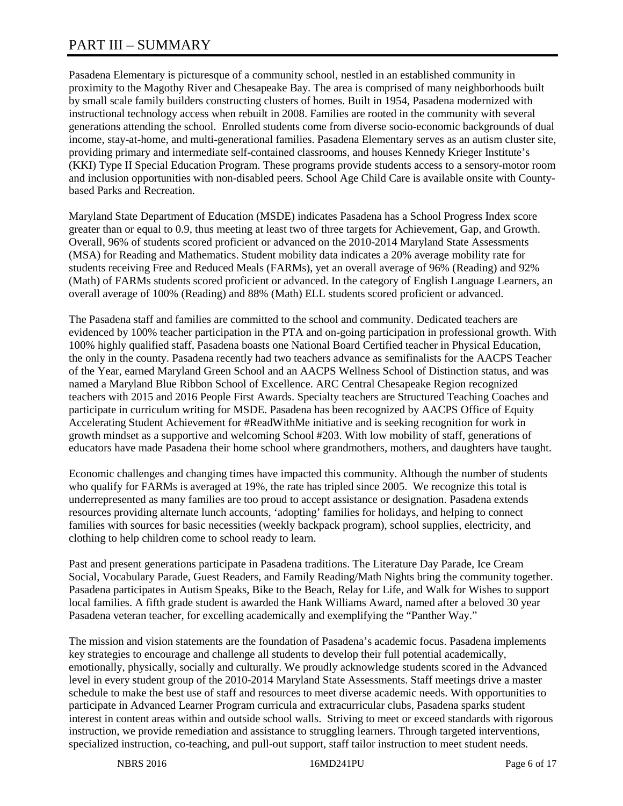# PART III – SUMMARY

Pasadena Elementary is picturesque of a community school, nestled in an established community in proximity to the Magothy River and Chesapeake Bay. The area is comprised of many neighborhoods built by small scale family builders constructing clusters of homes. Built in 1954, Pasadena modernized with instructional technology access when rebuilt in 2008. Families are rooted in the community with several generations attending the school. Enrolled students come from diverse socio-economic backgrounds of dual income, stay-at-home, and multi-generational families. Pasadena Elementary serves as an autism cluster site, providing primary and intermediate self-contained classrooms, and houses Kennedy Krieger Institute's (KKI) Type II Special Education Program. These programs provide students access to a sensory-motor room and inclusion opportunities with non-disabled peers. School Age Child Care is available onsite with Countybased Parks and Recreation.

Maryland State Department of Education (MSDE) indicates Pasadena has a School Progress Index score greater than or equal to 0.9, thus meeting at least two of three targets for Achievement, Gap, and Growth. Overall, 96% of students scored proficient or advanced on the 2010-2014 Maryland State Assessments (MSA) for Reading and Mathematics. Student mobility data indicates a 20% average mobility rate for students receiving Free and Reduced Meals (FARMs), yet an overall average of 96% (Reading) and 92% (Math) of FARMs students scored proficient or advanced. In the category of English Language Learners, an overall average of 100% (Reading) and 88% (Math) ELL students scored proficient or advanced.

The Pasadena staff and families are committed to the school and community. Dedicated teachers are evidenced by 100% teacher participation in the PTA and on-going participation in professional growth. With 100% highly qualified staff, Pasadena boasts one National Board Certified teacher in Physical Education, the only in the county. Pasadena recently had two teachers advance as semifinalists for the AACPS Teacher of the Year, earned Maryland Green School and an AACPS Wellness School of Distinction status, and was named a Maryland Blue Ribbon School of Excellence. ARC Central Chesapeake Region recognized teachers with 2015 and 2016 People First Awards. Specialty teachers are Structured Teaching Coaches and participate in curriculum writing for MSDE. Pasadena has been recognized by AACPS Office of Equity Accelerating Student Achievement for #ReadWithMe initiative and is seeking recognition for work in growth mindset as a supportive and welcoming School #203. With low mobility of staff, generations of educators have made Pasadena their home school where grandmothers, mothers, and daughters have taught.

Economic challenges and changing times have impacted this community. Although the number of students who qualify for FARMs is averaged at 19%, the rate has tripled since 2005. We recognize this total is underrepresented as many families are too proud to accept assistance or designation. Pasadena extends resources providing alternate lunch accounts, 'adopting' families for holidays, and helping to connect families with sources for basic necessities (weekly backpack program), school supplies, electricity, and clothing to help children come to school ready to learn.

Past and present generations participate in Pasadena traditions. The Literature Day Parade, Ice Cream Social, Vocabulary Parade, Guest Readers, and Family Reading/Math Nights bring the community together. Pasadena participates in Autism Speaks, Bike to the Beach, Relay for Life, and Walk for Wishes to support local families. A fifth grade student is awarded the Hank Williams Award, named after a beloved 30 year Pasadena veteran teacher, for excelling academically and exemplifying the "Panther Way."

The mission and vision statements are the foundation of Pasadena's academic focus. Pasadena implements key strategies to encourage and challenge all students to develop their full potential academically, emotionally, physically, socially and culturally. We proudly acknowledge students scored in the Advanced level in every student group of the 2010-2014 Maryland State Assessments. Staff meetings drive a master schedule to make the best use of staff and resources to meet diverse academic needs. With opportunities to participate in Advanced Learner Program curricula and extracurricular clubs, Pasadena sparks student interest in content areas within and outside school walls. Striving to meet or exceed standards with rigorous instruction, we provide remediation and assistance to struggling learners. Through targeted interventions, specialized instruction, co-teaching, and pull-out support, staff tailor instruction to meet student needs.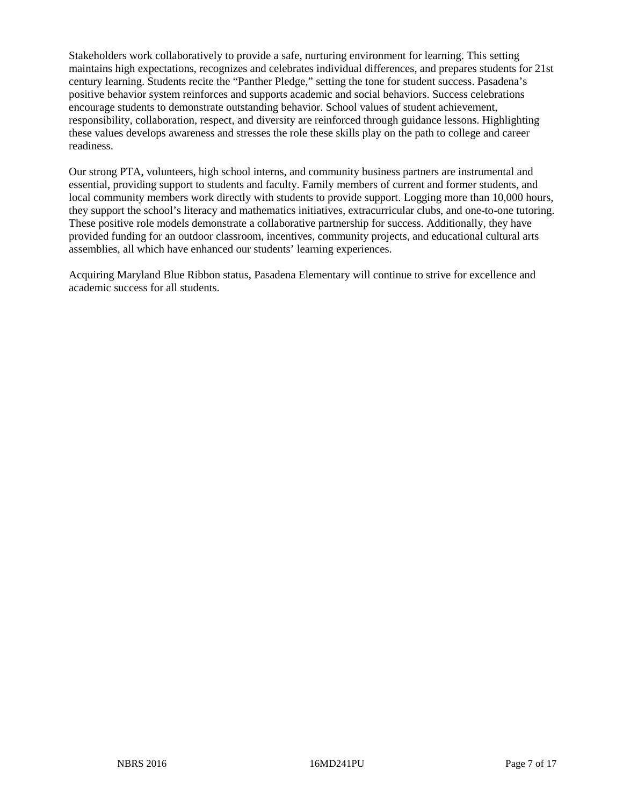Stakeholders work collaboratively to provide a safe, nurturing environment for learning. This setting maintains high expectations, recognizes and celebrates individual differences, and prepares students for 21st century learning. Students recite the "Panther Pledge," setting the tone for student success. Pasadena's positive behavior system reinforces and supports academic and social behaviors. Success celebrations encourage students to demonstrate outstanding behavior. School values of student achievement, responsibility, collaboration, respect, and diversity are reinforced through guidance lessons. Highlighting these values develops awareness and stresses the role these skills play on the path to college and career readiness.

Our strong PTA, volunteers, high school interns, and community business partners are instrumental and essential, providing support to students and faculty. Family members of current and former students, and local community members work directly with students to provide support. Logging more than 10,000 hours, they support the school's literacy and mathematics initiatives, extracurricular clubs, and one-to-one tutoring. These positive role models demonstrate a collaborative partnership for success. Additionally, they have provided funding for an outdoor classroom, incentives, community projects, and educational cultural arts assemblies, all which have enhanced our students' learning experiences.

Acquiring Maryland Blue Ribbon status, Pasadena Elementary will continue to strive for excellence and academic success for all students.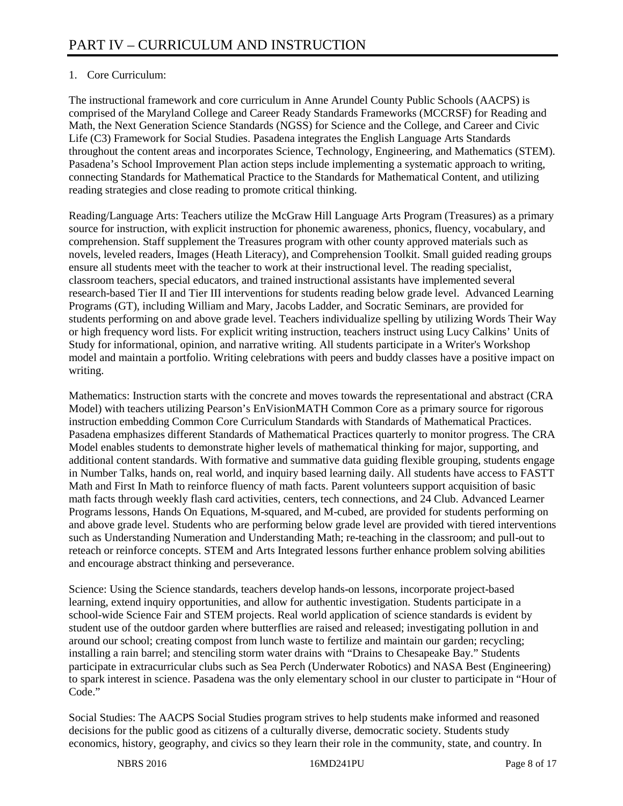# 1. Core Curriculum:

The instructional framework and core curriculum in Anne Arundel County Public Schools (AACPS) is comprised of the Maryland College and Career Ready Standards Frameworks (MCCRSF) for Reading and Math, the Next Generation Science Standards (NGSS) for Science and the College, and Career and Civic Life (C3) Framework for Social Studies. Pasadena integrates the English Language Arts Standards throughout the content areas and incorporates Science, Technology, Engineering, and Mathematics (STEM). Pasadena's School Improvement Plan action steps include implementing a systematic approach to writing, connecting Standards for Mathematical Practice to the Standards for Mathematical Content, and utilizing reading strategies and close reading to promote critical thinking.

Reading/Language Arts: Teachers utilize the McGraw Hill Language Arts Program (Treasures) as a primary source for instruction, with explicit instruction for phonemic awareness, phonics, fluency, vocabulary, and comprehension. Staff supplement the Treasures program with other county approved materials such as novels, leveled readers, Images (Heath Literacy), and Comprehension Toolkit. Small guided reading groups ensure all students meet with the teacher to work at their instructional level. The reading specialist, classroom teachers, special educators, and trained instructional assistants have implemented several research-based Tier II and Tier III interventions for students reading below grade level. Advanced Learning Programs (GT), including William and Mary, Jacobs Ladder, and Socratic Seminars, are provided for students performing on and above grade level. Teachers individualize spelling by utilizing Words Their Way or high frequency word lists. For explicit writing instruction, teachers instruct using Lucy Calkins' Units of Study for informational, opinion, and narrative writing. All students participate in a Writer's Workshop model and maintain a portfolio. Writing celebrations with peers and buddy classes have a positive impact on writing.

Mathematics: Instruction starts with the concrete and moves towards the representational and abstract (CRA Model) with teachers utilizing Pearson's EnVisionMATH Common Core as a primary source for rigorous instruction embedding Common Core Curriculum Standards with Standards of Mathematical Practices. Pasadena emphasizes different Standards of Mathematical Practices quarterly to monitor progress. The CRA Model enables students to demonstrate higher levels of mathematical thinking for major, supporting, and additional content standards. With formative and summative data guiding flexible grouping, students engage in Number Talks, hands on, real world, and inquiry based learning daily. All students have access to FASTT Math and First In Math to reinforce fluency of math facts. Parent volunteers support acquisition of basic math facts through weekly flash card activities, centers, tech connections, and 24 Club. Advanced Learner Programs lessons, Hands On Equations, M-squared, and M-cubed, are provided for students performing on and above grade level. Students who are performing below grade level are provided with tiered interventions such as Understanding Numeration and Understanding Math; re-teaching in the classroom; and pull-out to reteach or reinforce concepts. STEM and Arts Integrated lessons further enhance problem solving abilities and encourage abstract thinking and perseverance.

Science: Using the Science standards, teachers develop hands-on lessons, incorporate project-based learning, extend inquiry opportunities, and allow for authentic investigation. Students participate in a school-wide Science Fair and STEM projects. Real world application of science standards is evident by student use of the outdoor garden where butterflies are raised and released; investigating pollution in and around our school; creating compost from lunch waste to fertilize and maintain our garden; recycling; installing a rain barrel; and stenciling storm water drains with "Drains to Chesapeake Bay." Students participate in extracurricular clubs such as Sea Perch (Underwater Robotics) and NASA Best (Engineering) to spark interest in science. Pasadena was the only elementary school in our cluster to participate in "Hour of Code."

Social Studies: The AACPS Social Studies program strives to help students make informed and reasoned decisions for the public good as citizens of a culturally diverse, democratic society. Students study economics, history, geography, and civics so they learn their role in the community, state, and country. In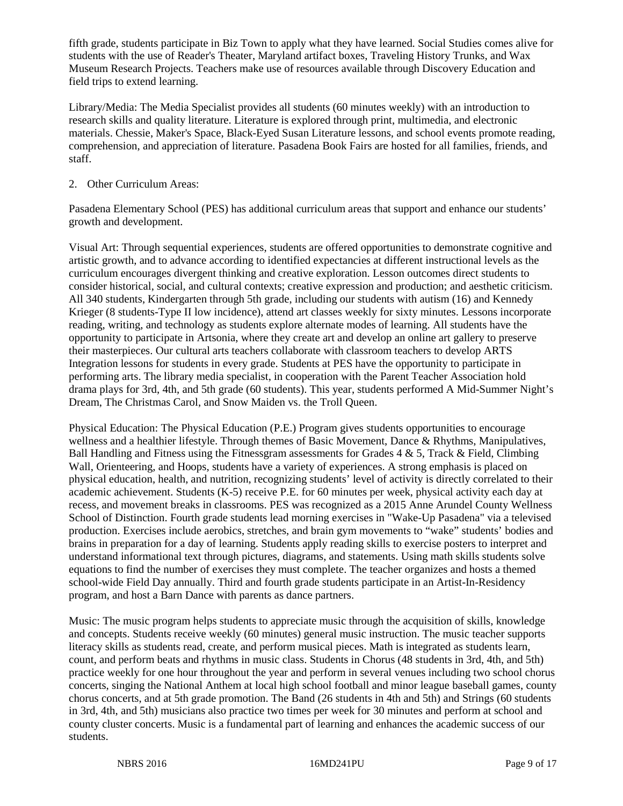fifth grade, students participate in Biz Town to apply what they have learned. Social Studies comes alive for students with the use of Reader's Theater, Maryland artifact boxes, Traveling History Trunks, and Wax Museum Research Projects. Teachers make use of resources available through Discovery Education and field trips to extend learning.

Library/Media: The Media Specialist provides all students (60 minutes weekly) with an introduction to research skills and quality literature. Literature is explored through print, multimedia, and electronic materials. Chessie, Maker's Space, Black-Eyed Susan Literature lessons, and school events promote reading, comprehension, and appreciation of literature. Pasadena Book Fairs are hosted for all families, friends, and staff.

# 2. Other Curriculum Areas:

Pasadena Elementary School (PES) has additional curriculum areas that support and enhance our students' growth and development.

Visual Art: Through sequential experiences, students are offered opportunities to demonstrate cognitive and artistic growth, and to advance according to identified expectancies at different instructional levels as the curriculum encourages divergent thinking and creative exploration. Lesson outcomes direct students to consider historical, social, and cultural contexts; creative expression and production; and aesthetic criticism. All 340 students, Kindergarten through 5th grade, including our students with autism (16) and Kennedy Krieger (8 students-Type II low incidence), attend art classes weekly for sixty minutes. Lessons incorporate reading, writing, and technology as students explore alternate modes of learning. All students have the opportunity to participate in Artsonia, where they create art and develop an online art gallery to preserve their masterpieces. Our cultural arts teachers collaborate with classroom teachers to develop ARTS Integration lessons for students in every grade. Students at PES have the opportunity to participate in performing arts. The library media specialist, in cooperation with the Parent Teacher Association hold drama plays for 3rd, 4th, and 5th grade (60 students). This year, students performed A Mid-Summer Night's Dream, The Christmas Carol, and Snow Maiden vs. the Troll Queen.

Physical Education: The Physical Education (P.E.) Program gives students opportunities to encourage wellness and a healthier lifestyle. Through themes of Basic Movement, Dance & Rhythms, Manipulatives, Ball Handling and Fitness using the Fitnessgram assessments for Grades  $4 \& 5$ , Track  $\&$  Field, Climbing Wall, Orienteering, and Hoops, students have a variety of experiences. A strong emphasis is placed on physical education, health, and nutrition, recognizing students' level of activity is directly correlated to their academic achievement. Students (K-5) receive P.E. for 60 minutes per week, physical activity each day at recess, and movement breaks in classrooms. PES was recognized as a 2015 Anne Arundel County Wellness School of Distinction. Fourth grade students lead morning exercises in "Wake-Up Pasadena" via a televised production. Exercises include aerobics, stretches, and brain gym movements to "wake" students' bodies and brains in preparation for a day of learning. Students apply reading skills to exercise posters to interpret and understand informational text through pictures, diagrams, and statements. Using math skills students solve equations to find the number of exercises they must complete. The teacher organizes and hosts a themed school-wide Field Day annually. Third and fourth grade students participate in an Artist-In-Residency program, and host a Barn Dance with parents as dance partners.

Music: The music program helps students to appreciate music through the acquisition of skills, knowledge and concepts. Students receive weekly (60 minutes) general music instruction. The music teacher supports literacy skills as students read, create, and perform musical pieces. Math is integrated as students learn, count, and perform beats and rhythms in music class. Students in Chorus (48 students in 3rd, 4th, and 5th) practice weekly for one hour throughout the year and perform in several venues including two school chorus concerts, singing the National Anthem at local high school football and minor league baseball games, county chorus concerts, and at 5th grade promotion. The Band (26 students in 4th and 5th) and Strings (60 students in 3rd, 4th, and 5th) musicians also practice two times per week for 30 minutes and perform at school and county cluster concerts. Music is a fundamental part of learning and enhances the academic success of our students.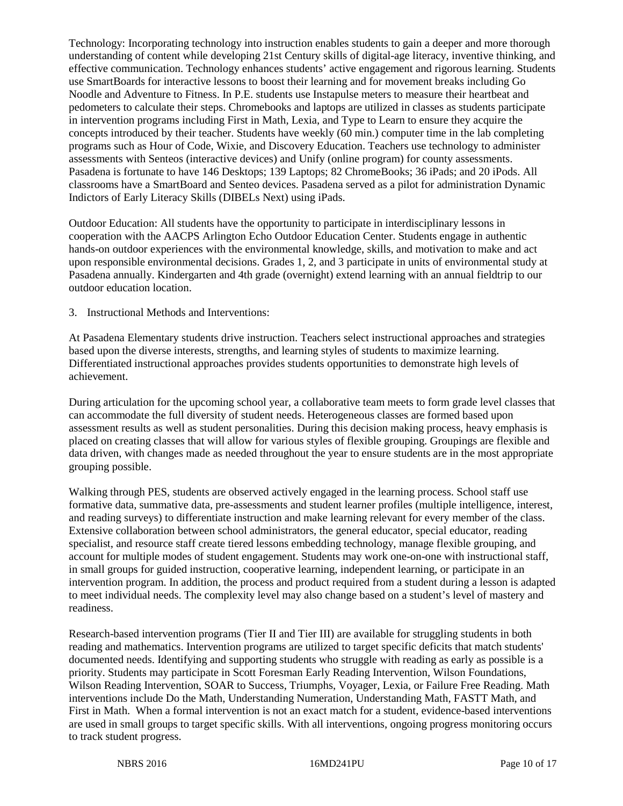Technology: Incorporating technology into instruction enables students to gain a deeper and more thorough understanding of content while developing 21st Century skills of digital-age literacy, inventive thinking, and effective communication. Technology enhances students' active engagement and rigorous learning. Students use SmartBoards for interactive lessons to boost their learning and for movement breaks including Go Noodle and Adventure to Fitness. In P.E. students use Instapulse meters to measure their heartbeat and pedometers to calculate their steps. Chromebooks and laptops are utilized in classes as students participate in intervention programs including First in Math, Lexia, and Type to Learn to ensure they acquire the concepts introduced by their teacher. Students have weekly (60 min.) computer time in the lab completing programs such as Hour of Code, Wixie, and Discovery Education. Teachers use technology to administer assessments with Senteos (interactive devices) and Unify (online program) for county assessments. Pasadena is fortunate to have 146 Desktops; 139 Laptops; 82 ChromeBooks; 36 iPads; and 20 iPods. All classrooms have a SmartBoard and Senteo devices. Pasadena served as a pilot for administration Dynamic Indictors of Early Literacy Skills (DIBELs Next) using iPads.

Outdoor Education: All students have the opportunity to participate in interdisciplinary lessons in cooperation with the AACPS Arlington Echo Outdoor Education Center. Students engage in authentic hands-on outdoor experiences with the environmental knowledge, skills, and motivation to make and act upon responsible environmental decisions. Grades 1, 2, and 3 participate in units of environmental study at Pasadena annually. Kindergarten and 4th grade (overnight) extend learning with an annual fieldtrip to our outdoor education location.

3. Instructional Methods and Interventions:

At Pasadena Elementary students drive instruction. Teachers select instructional approaches and strategies based upon the diverse interests, strengths, and learning styles of students to maximize learning. Differentiated instructional approaches provides students opportunities to demonstrate high levels of achievement.

During articulation for the upcoming school year, a collaborative team meets to form grade level classes that can accommodate the full diversity of student needs. Heterogeneous classes are formed based upon assessment results as well as student personalities. During this decision making process, heavy emphasis is placed on creating classes that will allow for various styles of flexible grouping. Groupings are flexible and data driven, with changes made as needed throughout the year to ensure students are in the most appropriate grouping possible.

Walking through PES, students are observed actively engaged in the learning process. School staff use formative data, summative data, pre-assessments and student learner profiles (multiple intelligence, interest, and reading surveys) to differentiate instruction and make learning relevant for every member of the class. Extensive collaboration between school administrators, the general educator, special educator, reading specialist, and resource staff create tiered lessons embedding technology, manage flexible grouping, and account for multiple modes of student engagement. Students may work one-on-one with instructional staff, in small groups for guided instruction, cooperative learning, independent learning, or participate in an intervention program. In addition, the process and product required from a student during a lesson is adapted to meet individual needs. The complexity level may also change based on a student's level of mastery and readiness.

Research-based intervention programs (Tier II and Tier III) are available for struggling students in both reading and mathematics. Intervention programs are utilized to target specific deficits that match students' documented needs. Identifying and supporting students who struggle with reading as early as possible is a priority. Students may participate in Scott Foresman Early Reading Intervention, Wilson Foundations, Wilson Reading Intervention, SOAR to Success, Triumphs, Voyager, Lexia, or Failure Free Reading. Math interventions include Do the Math, Understanding Numeration, Understanding Math, FASTT Math, and First in Math. When a formal intervention is not an exact match for a student, evidence-based interventions are used in small groups to target specific skills. With all interventions, ongoing progress monitoring occurs to track student progress.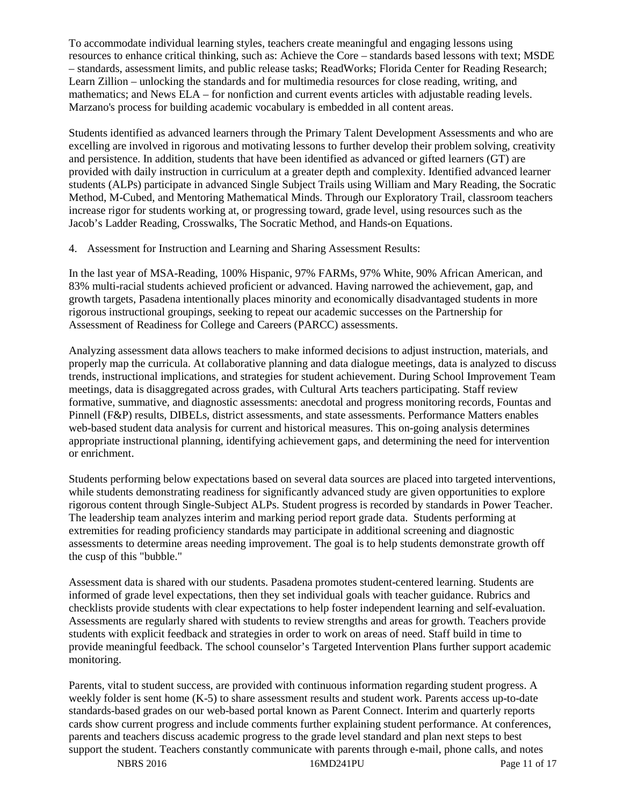To accommodate individual learning styles, teachers create meaningful and engaging lessons using resources to enhance critical thinking, such as: Achieve the Core – standards based lessons with text; MSDE – standards, assessment limits, and public release tasks; ReadWorks; Florida Center for Reading Research; Learn Zillion – unlocking the standards and for multimedia resources for close reading, writing, and mathematics; and News ELA – for nonfiction and current events articles with adjustable reading levels. Marzano's process for building academic vocabulary is embedded in all content areas.

Students identified as advanced learners through the Primary Talent Development Assessments and who are excelling are involved in rigorous and motivating lessons to further develop their problem solving, creativity and persistence. In addition, students that have been identified as advanced or gifted learners (GT) are provided with daily instruction in curriculum at a greater depth and complexity. Identified advanced learner students (ALPs) participate in advanced Single Subject Trails using William and Mary Reading, the Socratic Method, M-Cubed, and Mentoring Mathematical Minds. Through our Exploratory Trail, classroom teachers increase rigor for students working at, or progressing toward, grade level, using resources such as the Jacob's Ladder Reading, Crosswalks, The Socratic Method, and Hands-on Equations.

4. Assessment for Instruction and Learning and Sharing Assessment Results:

In the last year of MSA-Reading, 100% Hispanic, 97% FARMs, 97% White, 90% African American, and 83% multi-racial students achieved proficient or advanced. Having narrowed the achievement, gap, and growth targets, Pasadena intentionally places minority and economically disadvantaged students in more rigorous instructional groupings, seeking to repeat our academic successes on the Partnership for Assessment of Readiness for College and Careers (PARCC) assessments.

Analyzing assessment data allows teachers to make informed decisions to adjust instruction, materials, and properly map the curricula. At collaborative planning and data dialogue meetings, data is analyzed to discuss trends, instructional implications, and strategies for student achievement. During School Improvement Team meetings, data is disaggregated across grades, with Cultural Arts teachers participating. Staff review formative, summative, and diagnostic assessments: anecdotal and progress monitoring records, Fountas and Pinnell (F&P) results, DIBELs, district assessments, and state assessments. Performance Matters enables web-based student data analysis for current and historical measures. This on-going analysis determines appropriate instructional planning, identifying achievement gaps, and determining the need for intervention or enrichment.

Students performing below expectations based on several data sources are placed into targeted interventions, while students demonstrating readiness for significantly advanced study are given opportunities to explore rigorous content through Single-Subject ALPs. Student progress is recorded by standards in Power Teacher. The leadership team analyzes interim and marking period report grade data. Students performing at extremities for reading proficiency standards may participate in additional screening and diagnostic assessments to determine areas needing improvement. The goal is to help students demonstrate growth off the cusp of this "bubble."

Assessment data is shared with our students. Pasadena promotes student-centered learning. Students are informed of grade level expectations, then they set individual goals with teacher guidance. Rubrics and checklists provide students with clear expectations to help foster independent learning and self-evaluation. Assessments are regularly shared with students to review strengths and areas for growth. Teachers provide students with explicit feedback and strategies in order to work on areas of need. Staff build in time to provide meaningful feedback. The school counselor's Targeted Intervention Plans further support academic monitoring.

Parents, vital to student success, are provided with continuous information regarding student progress. A weekly folder is sent home (K-5) to share assessment results and student work. Parents access up-to-date standards-based grades on our web-based portal known as Parent Connect. Interim and quarterly reports cards show current progress and include comments further explaining student performance. At conferences, parents and teachers discuss academic progress to the grade level standard and plan next steps to best support the student. Teachers constantly communicate with parents through e-mail, phone calls, and notes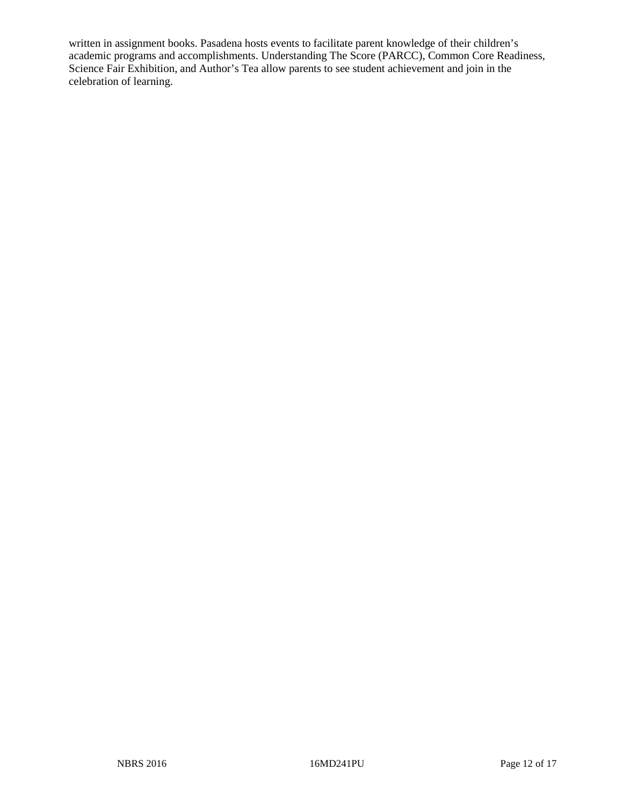written in assignment books. Pasadena hosts events to facilitate parent knowledge of their children's academic programs and accomplishments. Understanding The Score (PARCC), Common Core Readiness, Science Fair Exhibition, and Author's Tea allow parents to see student achievement and join in the celebration of learning.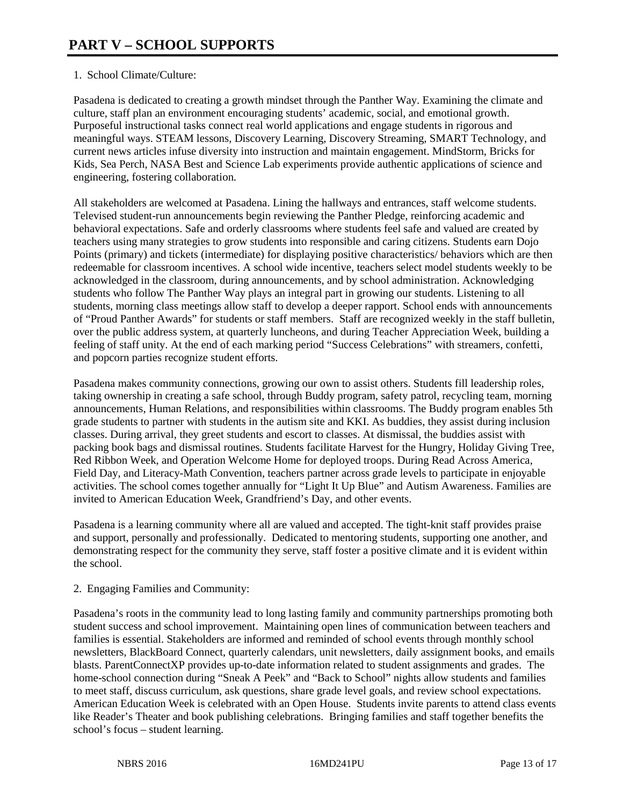# 1. School Climate/Culture:

Pasadena is dedicated to creating a growth mindset through the Panther Way. Examining the climate and culture, staff plan an environment encouraging students' academic, social, and emotional growth. Purposeful instructional tasks connect real world applications and engage students in rigorous and meaningful ways. STEAM lessons, Discovery Learning, Discovery Streaming, SMART Technology, and current news articles infuse diversity into instruction and maintain engagement. MindStorm, Bricks for Kids, Sea Perch, NASA Best and Science Lab experiments provide authentic applications of science and engineering, fostering collaboration.

All stakeholders are welcomed at Pasadena. Lining the hallways and entrances, staff welcome students. Televised student-run announcements begin reviewing the Panther Pledge, reinforcing academic and behavioral expectations. Safe and orderly classrooms where students feel safe and valued are created by teachers using many strategies to grow students into responsible and caring citizens. Students earn Dojo Points (primary) and tickets (intermediate) for displaying positive characteristics/ behaviors which are then redeemable for classroom incentives. A school wide incentive, teachers select model students weekly to be acknowledged in the classroom, during announcements, and by school administration. Acknowledging students who follow The Panther Way plays an integral part in growing our students. Listening to all students, morning class meetings allow staff to develop a deeper rapport. School ends with announcements of "Proud Panther Awards" for students or staff members. Staff are recognized weekly in the staff bulletin, over the public address system, at quarterly luncheons, and during Teacher Appreciation Week, building a feeling of staff unity. At the end of each marking period "Success Celebrations" with streamers, confetti, and popcorn parties recognize student efforts.

Pasadena makes community connections, growing our own to assist others. Students fill leadership roles, taking ownership in creating a safe school, through Buddy program, safety patrol, recycling team, morning announcements, Human Relations, and responsibilities within classrooms. The Buddy program enables 5th grade students to partner with students in the autism site and KKI. As buddies, they assist during inclusion classes. During arrival, they greet students and escort to classes. At dismissal, the buddies assist with packing book bags and dismissal routines. Students facilitate Harvest for the Hungry, Holiday Giving Tree, Red Ribbon Week, and Operation Welcome Home for deployed troops. During Read Across America, Field Day, and Literacy-Math Convention, teachers partner across grade levels to participate in enjoyable activities. The school comes together annually for "Light It Up Blue" and Autism Awareness. Families are invited to American Education Week, Grandfriend's Day, and other events.

Pasadena is a learning community where all are valued and accepted. The tight-knit staff provides praise and support, personally and professionally. Dedicated to mentoring students, supporting one another, and demonstrating respect for the community they serve, staff foster a positive climate and it is evident within the school.

## 2. Engaging Families and Community:

Pasadena's roots in the community lead to long lasting family and community partnerships promoting both student success and school improvement. Maintaining open lines of communication between teachers and families is essential. Stakeholders are informed and reminded of school events through monthly school newsletters, BlackBoard Connect, quarterly calendars, unit newsletters, daily assignment books, and emails blasts. ParentConnectXP provides up-to-date information related to student assignments and grades. The home-school connection during "Sneak A Peek" and "Back to School" nights allow students and families to meet staff, discuss curriculum, ask questions, share grade level goals, and review school expectations. American Education Week is celebrated with an Open House. Students invite parents to attend class events like Reader's Theater and book publishing celebrations. Bringing families and staff together benefits the school's focus – student learning.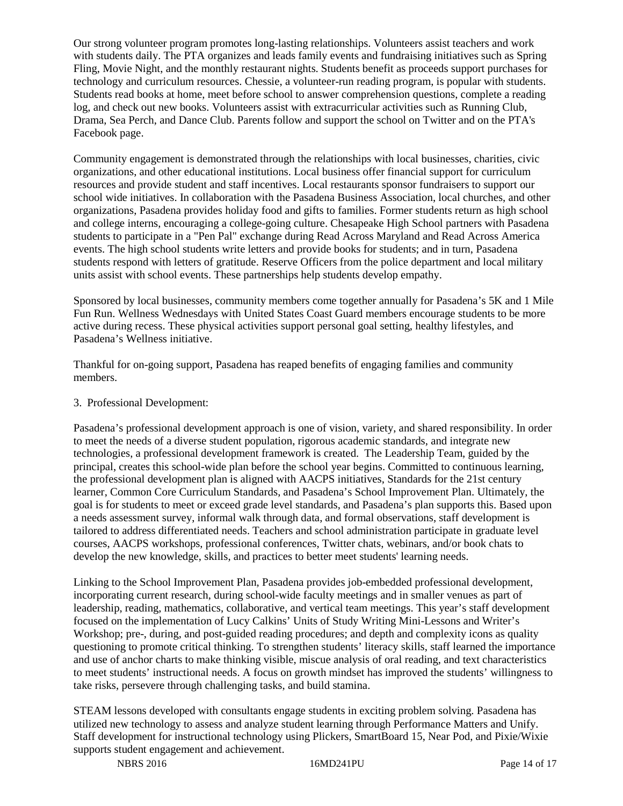Our strong volunteer program promotes long-lasting relationships. Volunteers assist teachers and work with students daily. The PTA organizes and leads family events and fundraising initiatives such as Spring Fling, Movie Night, and the monthly restaurant nights. Students benefit as proceeds support purchases for technology and curriculum resources. Chessie, a volunteer-run reading program, is popular with students. Students read books at home, meet before school to answer comprehension questions, complete a reading log, and check out new books. Volunteers assist with extracurricular activities such as Running Club, Drama, Sea Perch, and Dance Club. Parents follow and support the school on Twitter and on the PTA's Facebook page.

Community engagement is demonstrated through the relationships with local businesses, charities, civic organizations, and other educational institutions. Local business offer financial support for curriculum resources and provide student and staff incentives. Local restaurants sponsor fundraisers to support our school wide initiatives. In collaboration with the Pasadena Business Association, local churches, and other organizations, Pasadena provides holiday food and gifts to families. Former students return as high school and college interns, encouraging a college-going culture. Chesapeake High School partners with Pasadena students to participate in a "Pen Pal" exchange during Read Across Maryland and Read Across America events. The high school students write letters and provide books for students; and in turn, Pasadena students respond with letters of gratitude. Reserve Officers from the police department and local military units assist with school events. These partnerships help students develop empathy.

Sponsored by local businesses, community members come together annually for Pasadena's 5K and 1 Mile Fun Run. Wellness Wednesdays with United States Coast Guard members encourage students to be more active during recess. These physical activities support personal goal setting, healthy lifestyles, and Pasadena's Wellness initiative.

Thankful for on-going support, Pasadena has reaped benefits of engaging families and community members.

# 3. Professional Development:

Pasadena's professional development approach is one of vision, variety, and shared responsibility. In order to meet the needs of a diverse student population, rigorous academic standards, and integrate new technologies, a professional development framework is created. The Leadership Team, guided by the principal, creates this school-wide plan before the school year begins. Committed to continuous learning, the professional development plan is aligned with AACPS initiatives, Standards for the 21st century learner, Common Core Curriculum Standards, and Pasadena's School Improvement Plan. Ultimately, the goal is for students to meet or exceed grade level standards, and Pasadena's plan supports this. Based upon a needs assessment survey, informal walk through data, and formal observations, staff development is tailored to address differentiated needs. Teachers and school administration participate in graduate level courses, AACPS workshops, professional conferences, Twitter chats, webinars, and/or book chats to develop the new knowledge, skills, and practices to better meet students' learning needs.

Linking to the School Improvement Plan, Pasadena provides job-embedded professional development, incorporating current research, during school-wide faculty meetings and in smaller venues as part of leadership, reading, mathematics, collaborative, and vertical team meetings. This year's staff development focused on the implementation of Lucy Calkins' Units of Study Writing Mini-Lessons and Writer's Workshop; pre-, during, and post-guided reading procedures; and depth and complexity icons as quality questioning to promote critical thinking. To strengthen students' literacy skills, staff learned the importance and use of anchor charts to make thinking visible, miscue analysis of oral reading, and text characteristics to meet students' instructional needs. A focus on growth mindset has improved the students' willingness to take risks, persevere through challenging tasks, and build stamina.

STEAM lessons developed with consultants engage students in exciting problem solving. Pasadena has utilized new technology to assess and analyze student learning through Performance Matters and Unify. Staff development for instructional technology using Plickers, SmartBoard 15, Near Pod, and Pixie/Wixie supports student engagement and achievement.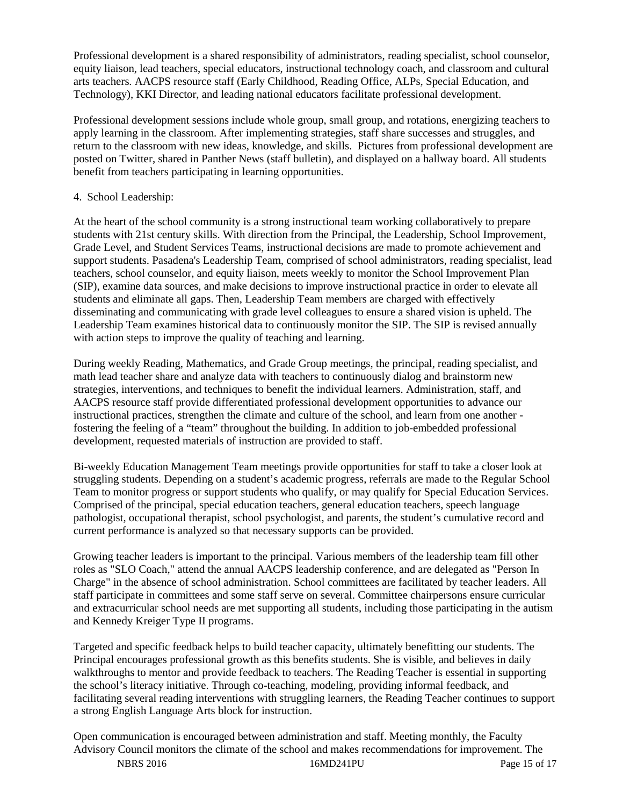Professional development is a shared responsibility of administrators, reading specialist, school counselor, equity liaison, lead teachers, special educators, instructional technology coach, and classroom and cultural arts teachers. AACPS resource staff (Early Childhood, Reading Office, ALPs, Special Education, and Technology), KKI Director, and leading national educators facilitate professional development.

Professional development sessions include whole group, small group, and rotations, energizing teachers to apply learning in the classroom. After implementing strategies, staff share successes and struggles, and return to the classroom with new ideas, knowledge, and skills. Pictures from professional development are posted on Twitter, shared in Panther News (staff bulletin), and displayed on a hallway board. All students benefit from teachers participating in learning opportunities.

## 4. School Leadership:

At the heart of the school community is a strong instructional team working collaboratively to prepare students with 21st century skills. With direction from the Principal, the Leadership, School Improvement, Grade Level, and Student Services Teams, instructional decisions are made to promote achievement and support students. Pasadena's Leadership Team, comprised of school administrators, reading specialist, lead teachers, school counselor, and equity liaison, meets weekly to monitor the School Improvement Plan (SIP), examine data sources, and make decisions to improve instructional practice in order to elevate all students and eliminate all gaps. Then, Leadership Team members are charged with effectively disseminating and communicating with grade level colleagues to ensure a shared vision is upheld. The Leadership Team examines historical data to continuously monitor the SIP. The SIP is revised annually with action steps to improve the quality of teaching and learning.

During weekly Reading, Mathematics, and Grade Group meetings, the principal, reading specialist, and math lead teacher share and analyze data with teachers to continuously dialog and brainstorm new strategies, interventions, and techniques to benefit the individual learners. Administration, staff, and AACPS resource staff provide differentiated professional development opportunities to advance our instructional practices, strengthen the climate and culture of the school, and learn from one another fostering the feeling of a "team" throughout the building. In addition to job-embedded professional development, requested materials of instruction are provided to staff.

Bi-weekly Education Management Team meetings provide opportunities for staff to take a closer look at struggling students. Depending on a student's academic progress, referrals are made to the Regular School Team to monitor progress or support students who qualify, or may qualify for Special Education Services. Comprised of the principal, special education teachers, general education teachers, speech language pathologist, occupational therapist, school psychologist, and parents, the student's cumulative record and current performance is analyzed so that necessary supports can be provided.

Growing teacher leaders is important to the principal. Various members of the leadership team fill other roles as "SLO Coach," attend the annual AACPS leadership conference, and are delegated as "Person In Charge" in the absence of school administration. School committees are facilitated by teacher leaders. All staff participate in committees and some staff serve on several. Committee chairpersons ensure curricular and extracurricular school needs are met supporting all students, including those participating in the autism and Kennedy Kreiger Type II programs.

Targeted and specific feedback helps to build teacher capacity, ultimately benefitting our students. The Principal encourages professional growth as this benefits students. She is visible, and believes in daily walkthroughs to mentor and provide feedback to teachers. The Reading Teacher is essential in supporting the school's literacy initiative. Through co-teaching, modeling, providing informal feedback, and facilitating several reading interventions with struggling learners, the Reading Teacher continues to support a strong English Language Arts block for instruction.

NBRS 2016 16MD241PU Page 15 of 17 Open communication is encouraged between administration and staff. Meeting monthly, the Faculty Advisory Council monitors the climate of the school and makes recommendations for improvement. The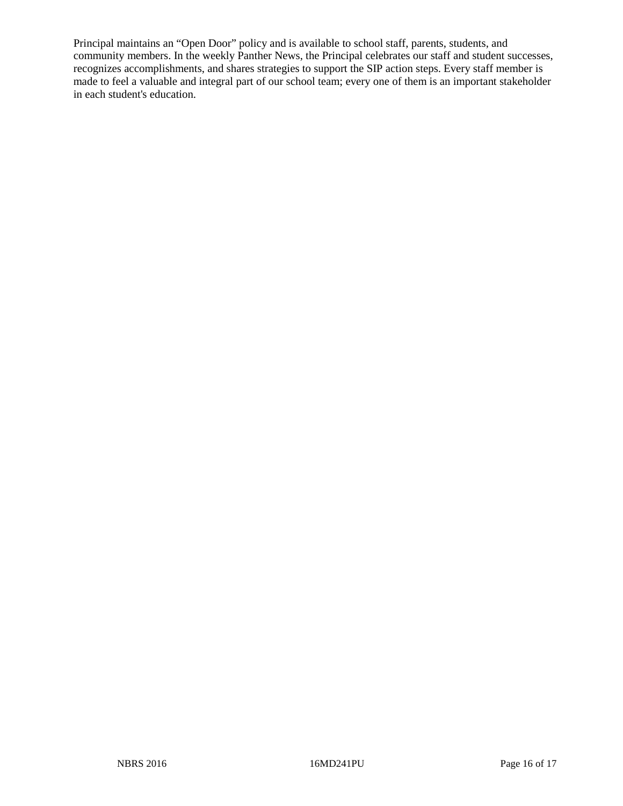Principal maintains an "Open Door" policy and is available to school staff, parents, students, and community members. In the weekly Panther News, the Principal celebrates our staff and student successes, recognizes accomplishments, and shares strategies to support the SIP action steps. Every staff member is made to feel a valuable and integral part of our school team; every one of them is an important stakeholder in each student's education.